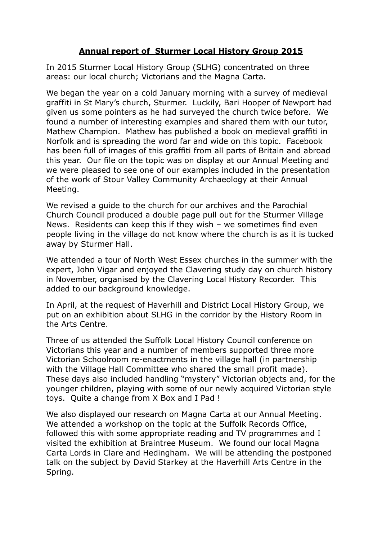## **Annual report of Sturmer Local History Group 2015**

In 2015 Sturmer Local History Group (SLHG) concentrated on three areas: our local church; Victorians and the Magna Carta.

We began the year on a cold January morning with a survey of medieval graffiti in St Mary's church, Sturmer. Luckily, Bari Hooper of Newport had given us some pointers as he had surveyed the church twice before. We found a number of interesting examples and shared them with our tutor, Mathew Champion. Mathew has published a book on medieval graffiti in Norfolk and is spreading the word far and wide on this topic. Facebook has been full of images of this graffiti from all parts of Britain and abroad this year. Our file on the topic was on display at our Annual Meeting and we were pleased to see one of our examples included in the presentation of the work of Stour Valley Community Archaeology at their Annual Meeting.

We revised a guide to the church for our archives and the Parochial Church Council produced a double page pull out for the Sturmer Village News. Residents can keep this if they wish – we sometimes find even people living in the village do not know where the church is as it is tucked away by Sturmer Hall.

We attended a tour of North West Essex churches in the summer with the expert, John Vigar and enjoyed the Clavering study day on church history in November, organised by the Clavering Local History Recorder. This added to our background knowledge.

In April, at the request of Haverhill and District Local History Group, we put on an exhibition about SLHG in the corridor by the History Room in the Arts Centre.

Three of us attended the Suffolk Local History Council conference on Victorians this year and a number of members supported three more Victorian Schoolroom re-enactments in the village hall (in partnership with the Village Hall Committee who shared the small profit made). These days also included handling "mystery" Victorian objects and, for the younger children, playing with some of our newly acquired Victorian style toys. Quite a change from X Box and I Pad !

We also displayed our research on Magna Carta at our Annual Meeting. We attended a workshop on the topic at the Suffolk Records Office, followed this with some appropriate reading and TV programmes and I visited the exhibition at Braintree Museum. We found our local Magna Carta Lords in Clare and Hedingham. We will be attending the postponed talk on the subject by David Starkey at the Haverhill Arts Centre in the Spring.